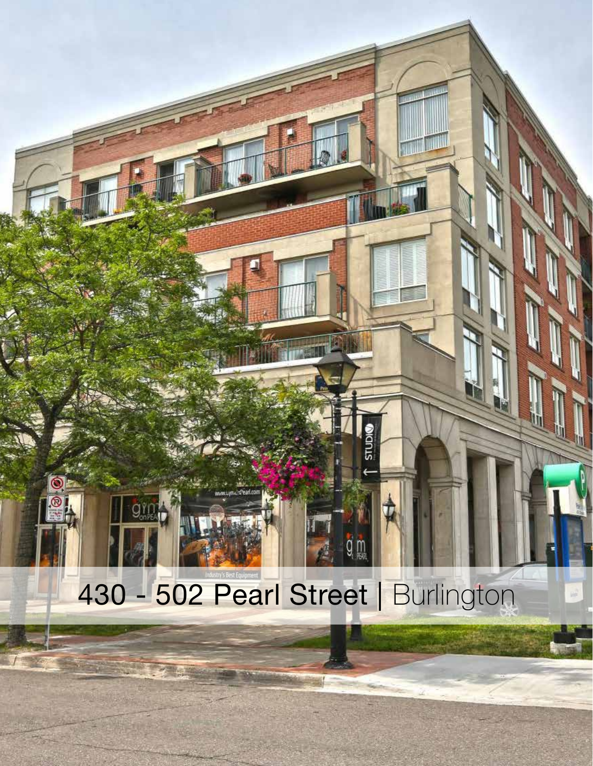## 430 - 502 Pearl Street | Burlington

**OICITIS**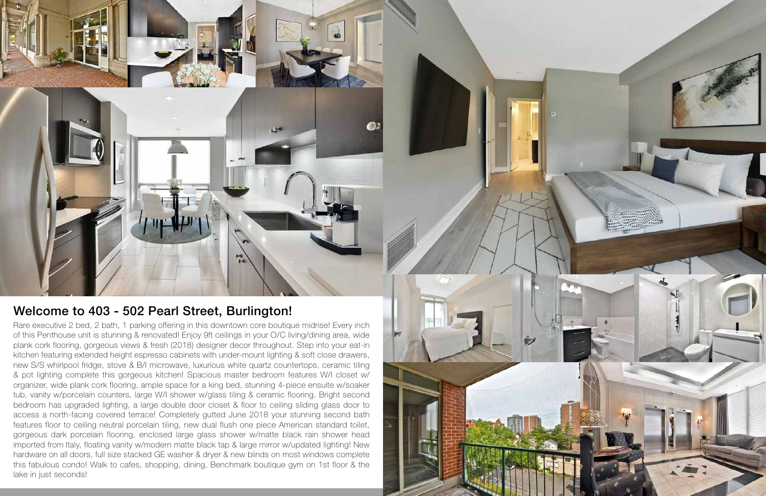Rare executive 2 bed, 2 bath, 1 parking offering in this downtown core boutique midrise! Every inch of this Penthouse unit is stunning & renovated! Enjoy 9ft ceilings in your O/C living/dining area, wide plank cork flooring, gorgeous views & fresh (2018) designer decor throughout. Step into your eat-in kitchen featuring extended height espresso cabinets with under-mount lighting & soft close drawers, new S/S whirlpool fridge, stove & B/I microwave, luxurious white quartz countertops, ceramic tiling & pot lighting complete this gorgeous kitchen! Spacious master bedroom features W/I closet w/ organizer, wide plank cork flooring, ample space for a king bed, stunning 4-piece ensuite w/soaker tub, vanity w/porcelain counters, large W/I shower w/glass tiling & ceramic flooring. Bright second bedroom has upgraded lighting, a large double door closet & floor to ceiling sliding glass door to access a north-facing covered terrace! Completely gutted June 2018 your stunning second bath features floor to ceiling neutral porcelain tiling, new dual flush one piece American standard toilet, gorgeous dark porcelain flooring, enclosed large glass shower w/matte black rain shower head imported from Italy, floating vanity w/modern matte black tap & large mirror w/updated lighting! New hardware on all doors, full size stacked GE washer & dryer & new blinds on most windows complete this fabulous condo! Walk to cafes, shopping, dining, Benchmark boutique gym on 1st floor & the lake in just seconds!



## Welcome to 403 - 502 Pearl Street, Burlington!